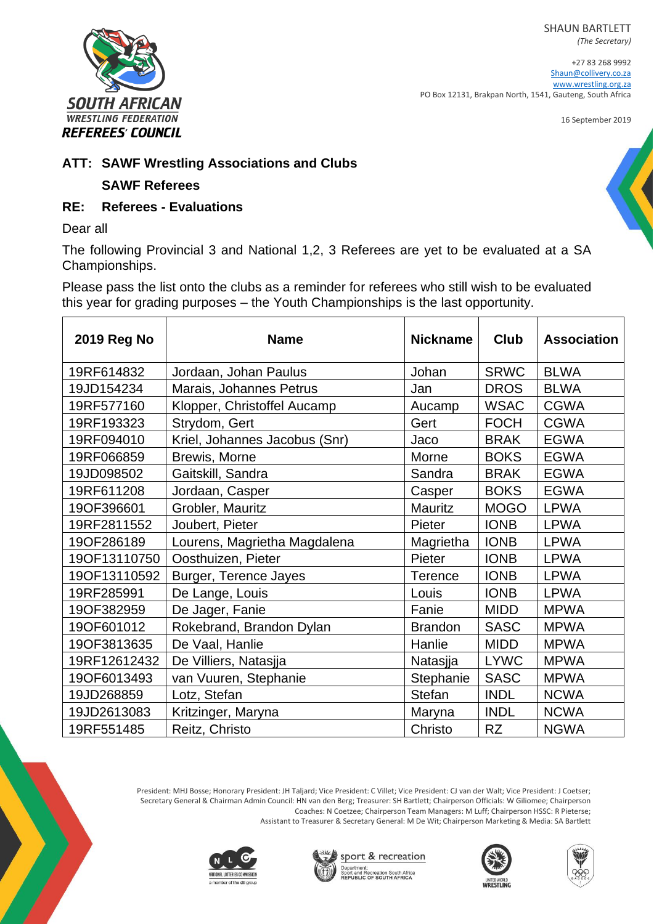SHAUN BARTLETT



+27 83 268 9992 [Shaun@collivery.co.za](mailto:Shaun@collivery.co.za) [www.wrestling.org.za](http://www.wrestling.org.za/) PO Box 12131, Brakpan North, 1541, Gauteng, South Africa

16 September 2019



## **ATT: SAWF Wrestling Associations and Clubs**

## **SAWF Referees**

## **RE: Referees - Evaluations**

Dear all

The following Provincial 3 and National 1,2, 3 Referees are yet to be evaluated at a SA Championships.

Please pass the list onto the clubs as a reminder for referees who still wish to be evaluated this year for grading purposes – the Youth Championships is the last opportunity.

| <b>2019 Reg No</b> | <b>Name</b>                   | <b>Nickname</b> | <b>Club</b> | <b>Association</b> |
|--------------------|-------------------------------|-----------------|-------------|--------------------|
| 19RF614832         | Jordaan, Johan Paulus         | Johan           | <b>SRWC</b> | <b>BLWA</b>        |
| 19JD154234         | Marais, Johannes Petrus       | Jan             | <b>DROS</b> | <b>BLWA</b>        |
| 19RF577160         | Klopper, Christoffel Aucamp   | Aucamp          | <b>WSAC</b> | <b>CGWA</b>        |
| 19RF193323         | Strydom, Gert                 | Gert            | <b>FOCH</b> | <b>CGWA</b>        |
| 19RF094010         | Kriel, Johannes Jacobus (Snr) | Jaco            | <b>BRAK</b> | <b>EGWA</b>        |
| 19RF066859         | Brewis, Morne                 | Morne           | <b>BOKS</b> | <b>EGWA</b>        |
| 19JD098502         | Gaitskill, Sandra             | Sandra          | <b>BRAK</b> | <b>EGWA</b>        |
| 19RF611208         | Jordaan, Casper               | Casper          | <b>BOKS</b> | <b>EGWA</b>        |
| 19OF396601         | Grobler, Mauritz              | <b>Mauritz</b>  | <b>MOGO</b> | <b>LPWA</b>        |
| 19RF2811552        | Joubert, Pieter               | Pieter          | <b>IONB</b> | <b>LPWA</b>        |
| 19OF286189         | Lourens, Magrietha Magdalena  | Magrietha       | <b>IONB</b> | <b>LPWA</b>        |
| 19OF13110750       | Oosthuizen, Pieter            | Pieter          | <b>IONB</b> | <b>LPWA</b>        |
| 19OF13110592       | Burger, Terence Jayes         | Terence         | <b>IONB</b> | <b>LPWA</b>        |
| 19RF285991         | De Lange, Louis               | Louis           | <b>IONB</b> | <b>LPWA</b>        |
| 19OF382959         | De Jager, Fanie               | Fanie           | <b>MIDD</b> | <b>MPWA</b>        |
| 19OF601012         | Rokebrand, Brandon Dylan      | <b>Brandon</b>  | <b>SASC</b> | <b>MPWA</b>        |
| 19OF3813635        | De Vaal, Hanlie               | Hanlie          | <b>MIDD</b> | <b>MPWA</b>        |
| 19RF12612432       | De Villiers, Natasjja         | Natasjja        | <b>LYWC</b> | <b>MPWA</b>        |
| 19OF6013493        | van Vuuren, Stephanie         | Stephanie       | <b>SASC</b> | <b>MPWA</b>        |
| 19JD268859         | Lotz, Stefan                  | <b>Stefan</b>   | <b>INDL</b> | <b>NCWA</b>        |
| 19JD2613083        | Kritzinger, Maryna            | Maryna          | <b>INDL</b> | <b>NCWA</b>        |
| 19RF551485         | Reitz, Christo                | Christo         | <b>RZ</b>   | <b>NGWA</b>        |

President: MHJ Bosse; Honorary President: JH Taljard; Vice President: C Villet; Vice President: CJ van der Walt; Vice President: J Coetser; Secretary General & Chairman Admin Council: HN van den Berg; Treasurer: SH Bartlett; Chairperson Officials: W Giliomee; Chairperson Coaches: N Coetzee; Chairperson Team Managers: M Luff; Chairperson HSSC: R Pieterse; Assistant to Treasurer & Secretary General: M De Wit; Chairperson Marketing & Media: SA Bartlett